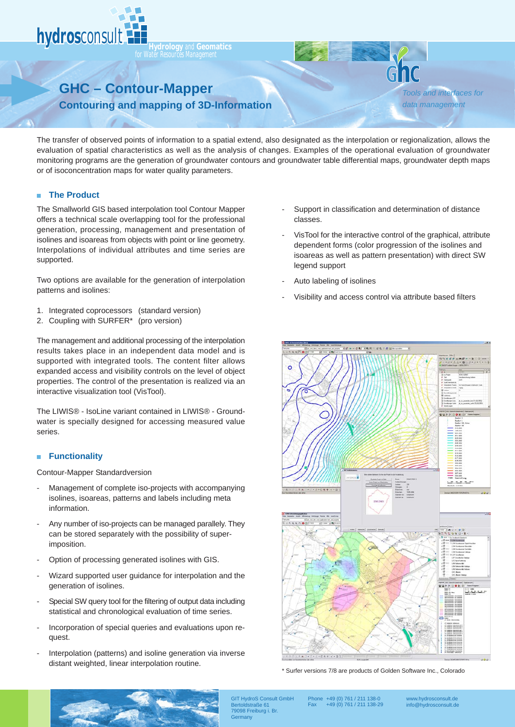

**For Water Resources Management** 

## **GHC – Contour-Mapper**

*Tools and interfaces for data management*

**Contouring and mapping of 3D-Information**

The transfer of observed points of information to a spatial extend, also designated as the interpolation or regionalization, allows the evaluation of spatial characteristics as well as the analysis of changes. Examples of the operational evaluation of groundwater monitoring programs are the generation of groundwater contours and groundwater table differential maps, groundwater depth maps or of isoconcentration maps for water quality parameters.

## **The Product**  $\blacksquare$

The Smallworld GIS based interpolation tool Contour Mapper offers a technical scale overlapping tool for the professional generation, processing, management and presentation of isolines and isoareas from objects with point or line geometry. Interpolations of individual attributes and time series are supported.

Two options are available for the generation of interpolation patterns and isolines:

- 1. Integrated coprocessors (standard version)
- 2. Coupling with SURFER\* (pro version)

The management and additional processing of the interpolation results takes place in an independent data model and is supported with integrated tools. The content filter allows expanded access and visibility controls on the level of object properties. The control of the presentation is realized via an interactive visualization tool (VisTool).

The LIWIS® - IsoLine variant contained in LIWIS® - Groundwater is specially designed for accessing measured value series.

## **Functionality**  $\blacksquare$

Contour-Mapper Standardversion

- Management of complete iso-projects with accompanying isolines, isoareas, patterns and labels including meta information.
- Any number of iso-projects can be managed parallely. They can be stored separately with the possibility of superimposition.
- Option of processing generated isolines with GIS.
- Wizard supported user guidance for interpolation and the generation of isolines.
- Special SW query tool for the filtering of output data including statistical and chronological evaluation of time series.
- Incorporation of special queries and evaluations upon request.
- Interpolation (patterns) and isoline generation via inverse distant weighted, linear interpolation routine.
- Support in classification and determination of distance classes.
- VisTool for the interactive control of the graphical, attribute dependent forms (color progression of the isolines and isoareas as well as pattern presentation) with direct SW legend support
- Auto labeling of isolines
- Visibility and access control via attribute based filters



<sup>\*</sup> Surfer versions 7/8 are products of Golden Software Inc., Colorado



GIT HydroS Consult GmbH Bertoldstraße 61 79098 Freiburg i. Br. **Germany** 

Phone +49 (0) 761 / 211 138-0 Fax +49 (0) 761 / 211 138-29